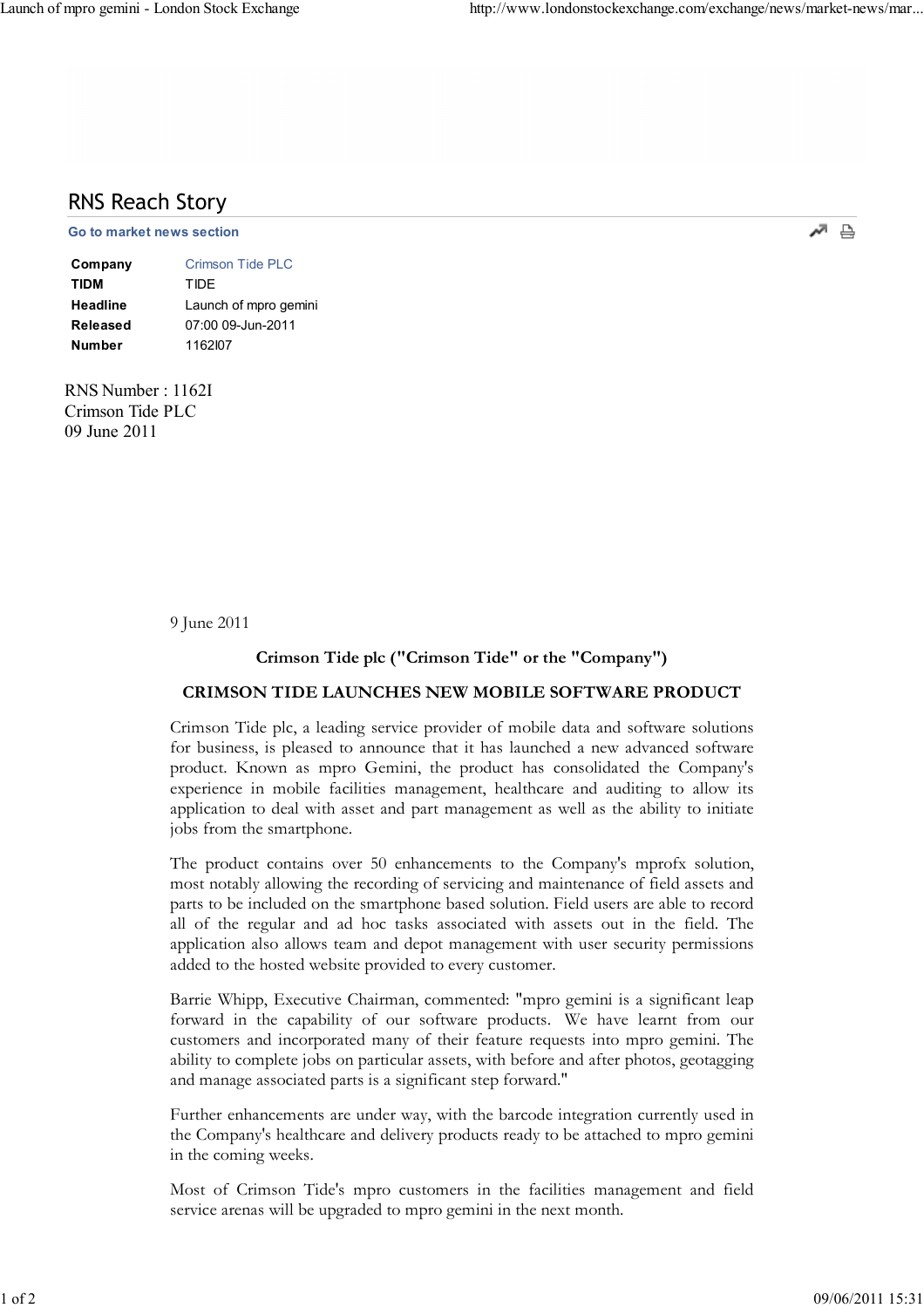# RNS Reach Story

#### $\Box$   $\Box$   $\Box$   $\Box$

| Company         | Crimson Tide PLC      |
|-----------------|-----------------------|
| <b>TIDM</b>     | TIDF                  |
| <b>Headline</b> | Launch of mpro gemini |
| Released        | 07:00 09-Jun-2011     |
| <b>Number</b>   | 1162107               |

RNS Number : 1162I Crimson Tide PLC 09 June 2011

9 June 2011

## Crimson Tide plc ("Crimson Tide" or the "Company")

## CRIMSON TIDE LAUNCHES NEW MOBILE SOFTWARE PRODUCT

Crimson Tide plc, a leading service provider of mobile data and software solutions for business, is pleased to announce that it has launched a new advanced software product. Known as mpro Gemini, the product has consolidated the Company's experience in mobile facilities management, healthcare and auditing to allow its application to deal with asset and part management as well as the ability to initiate jobs from the smartphone.

The product contains over 50 enhancements to the Company's mprofx solution, most notably allowing the recording of servicing and maintenance of field assets and parts to be included on the smartphone based solution. Field users are able to record all of the regular and ad hoc tasks associated with assets out in the field. The application also allows team and depot management with user security permissions added to the hosted website provided to every customer.

Barrie Whipp, Executive Chairman, commented: "mpro gemini is a significant leap forward in the capability of our software products. We have learnt from our customers and incorporated many of their feature requests into mpro gemini. The ability to complete jobs on particular assets, with before and after photos, geotagging and manage associated parts is a significant step forward."

Further enhancements are under way, with the barcode integration currently used in the Company's healthcare and delivery products ready to be attached to mpro gemini in the coming weeks.

Most of Crimson Tide's mpro customers in the facilities management and field service arenas will be upgraded to mpro gemini in the next month.